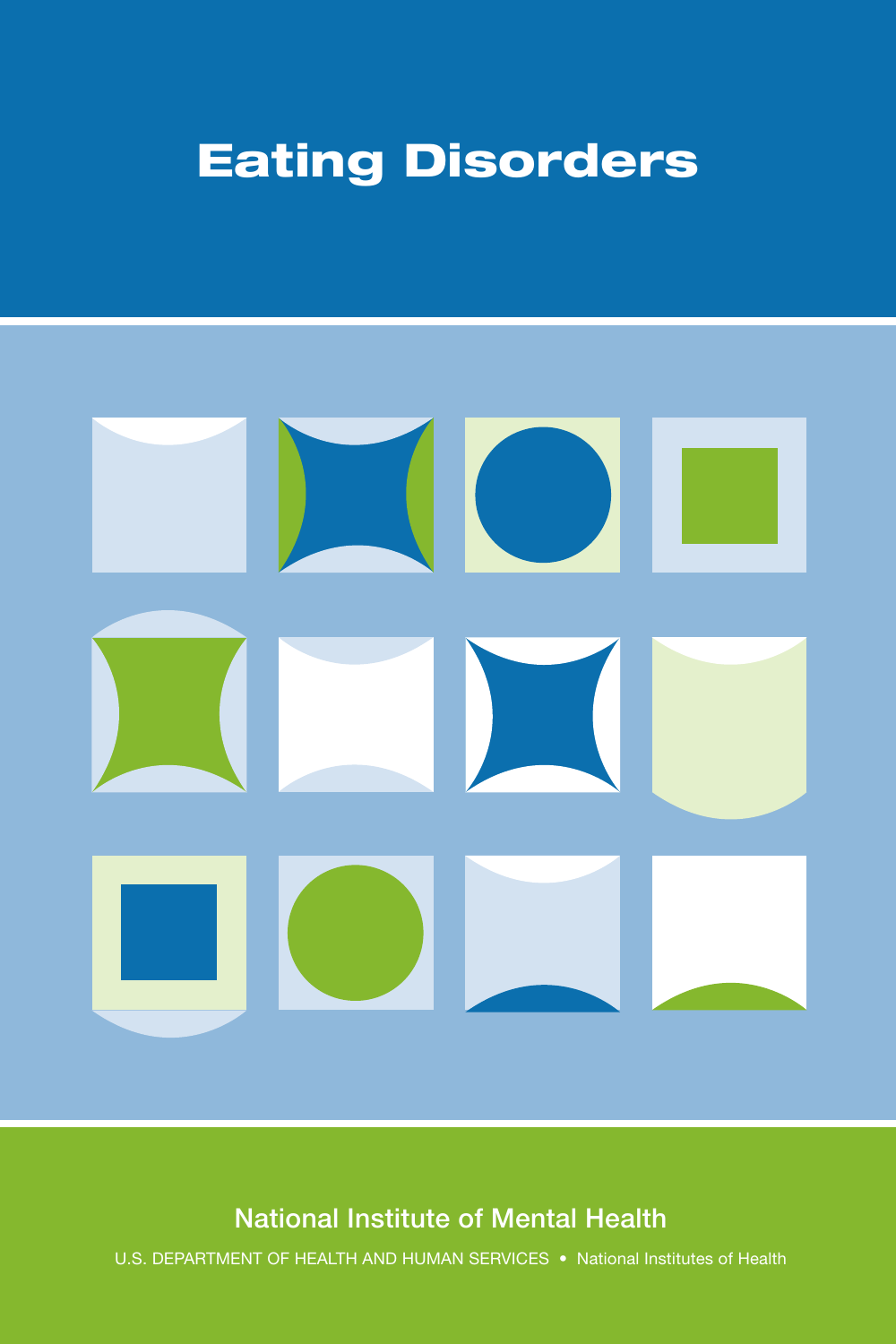# Eating Disorders



## National Institute of Mental Health

U.S. DEPARTMENT OF HEALTH AND HUMAN SERVICES • National Institutes of Health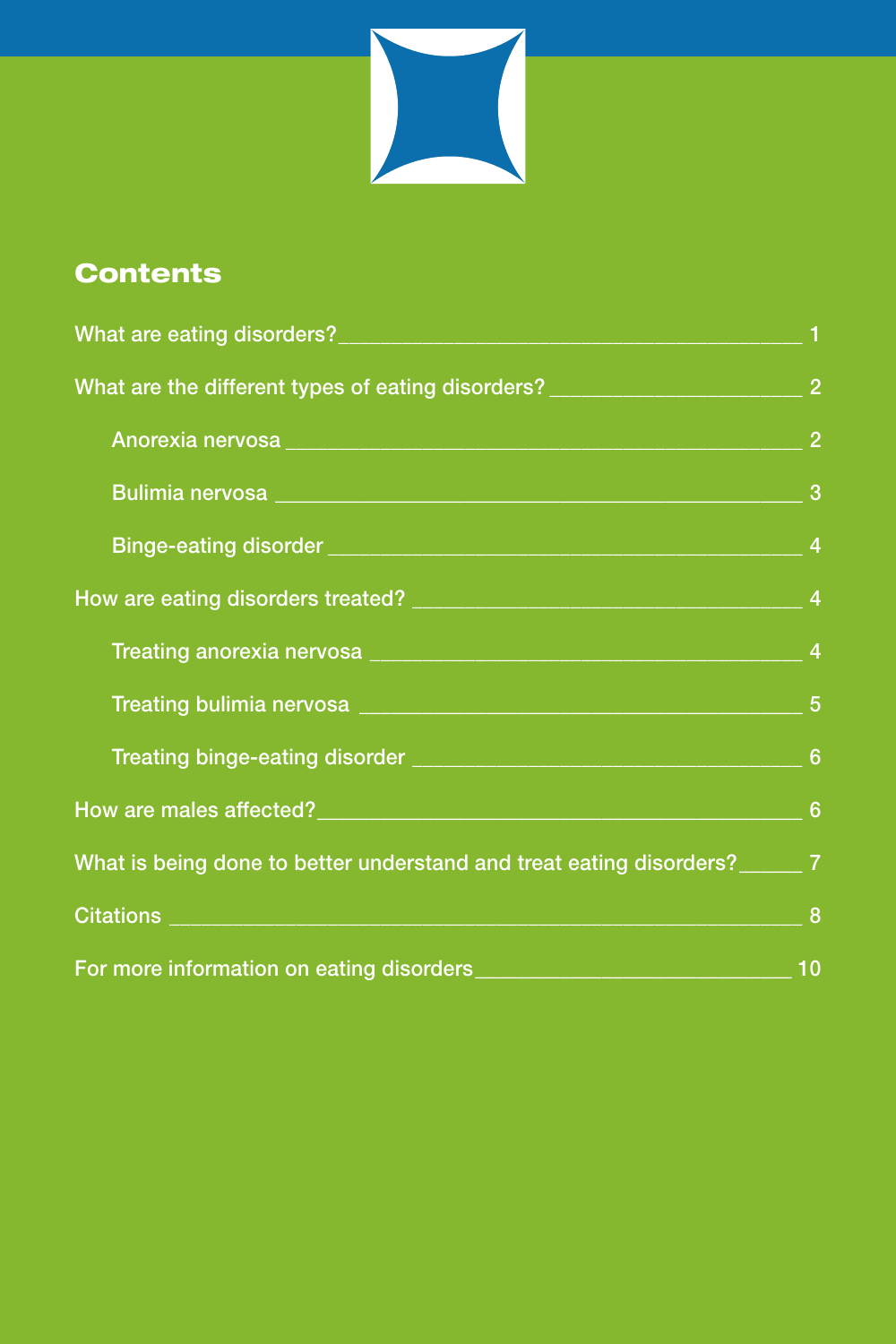

# Contents

| What are eating disorders?                                            |                     |
|-----------------------------------------------------------------------|---------------------|
| What are the different types of eating disorders? _____               | $\overline{2}$      |
| Anorexia nervosa _____                                                | $\overline{2}$      |
| Bulimia nervosa __<br>Binge-eating disorder ______                    | 3<br>$\overline{4}$ |
|                                                                       |                     |
| Treating anorexia nervosa ______                                      | $\overline{4}$      |
| Treating bulimia nervosa _____                                        | $5\phantom{1}$      |
| Treating binge-eating disorder ______                                 | $6\phantom{1}$      |
| How are males affected?_____                                          | $6\phantom{1}6$     |
| What is being done to better understand and treat eating disorders?__ | $\overline{7}$      |
| Citations ______                                                      | 8                   |
| For more information on eating disorders__                            | 10                  |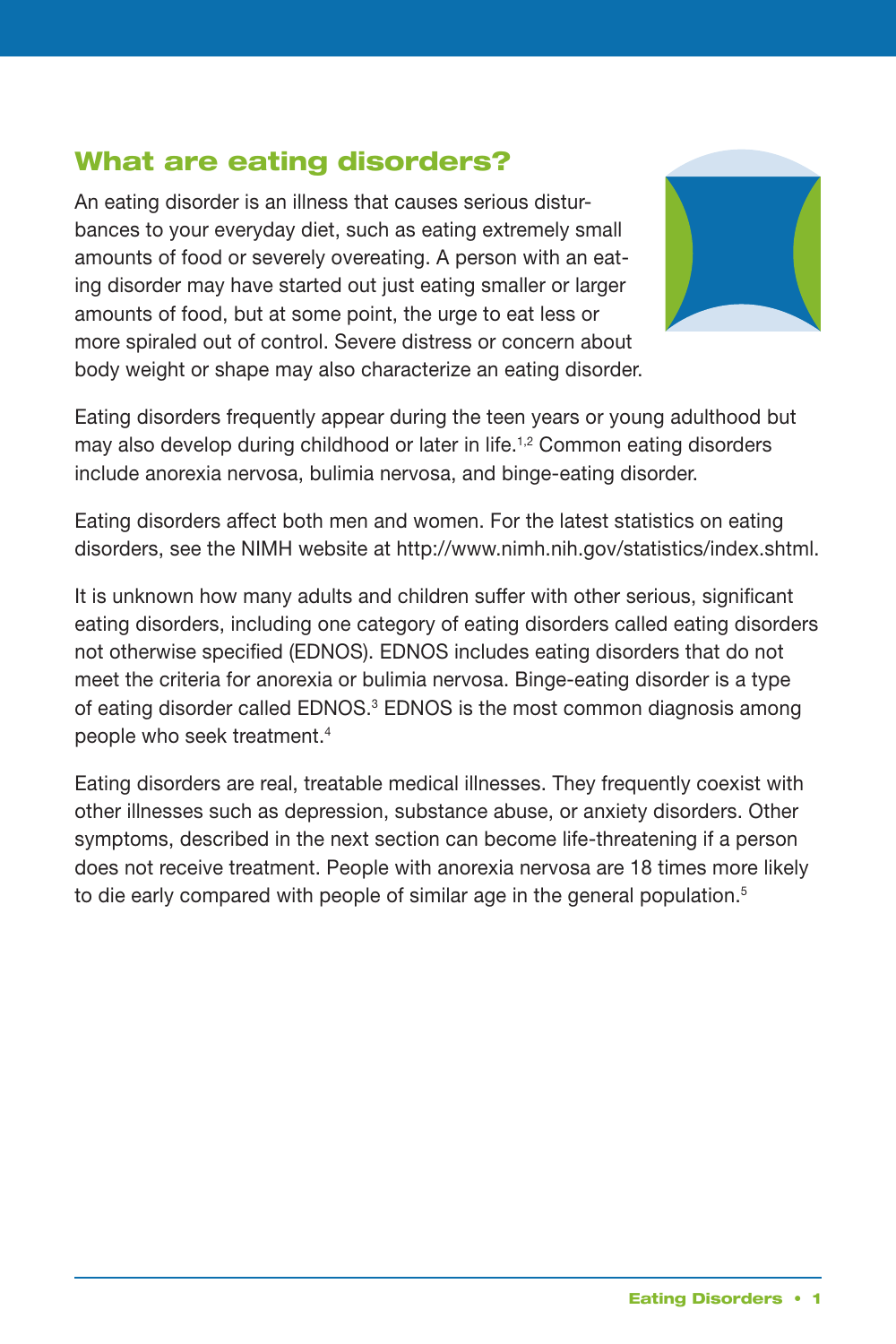## What are eating disorders?

An eating disorder is an illness that causes serious disturbances to your everyday diet, such as eating extremely small amounts of food or severely overeating. A person with an eating disorder may have started out just eating smaller or larger amounts of food, but at some point, the urge to eat less or more spiraled out of control. Severe distress or concern about body weight or shape may also characterize an eating disorder.



 Eating disorders frequently appear during the teen years or young adulthood but may also develop during childhood or later in life.<sup>1,2</sup> Common eating disorders include anorexia nervosa, bulimia nervosa, and binge-eating disorder.

 Eating disorders affect both men and women. For the latest statistics on eating disorders, see the NIMH website a[t http://www.nimh.nih.gov/statistics/index.shtml.](http://www.nimh.nih.gov/statistics/index.shtml) 

 It is unknown how many adults and children suffer with other serious, significant eating disorders, including one category of eating disorders called eating disorders not otherwise specified (EDNOS). EDNOS includes eating disorders that do not meet the criteria for anorexia or bulimia nervosa. Binge-eating disorder is a type of eating disorder called EDNOS.<sup>3</sup> EDNOS is the most common diagnosis among people who seek treatment.4

 Eating disorders are real, treatable medical illnesses. They frequently coexist with other illnesses such as depression, substance abuse, or anxiety disorders. Other symptoms, described in the next section can become life-threatening if a person does not receive treatment. People with anorexia nervosa are 18 times more likely to die early compared with people of similar age in the general population. $5$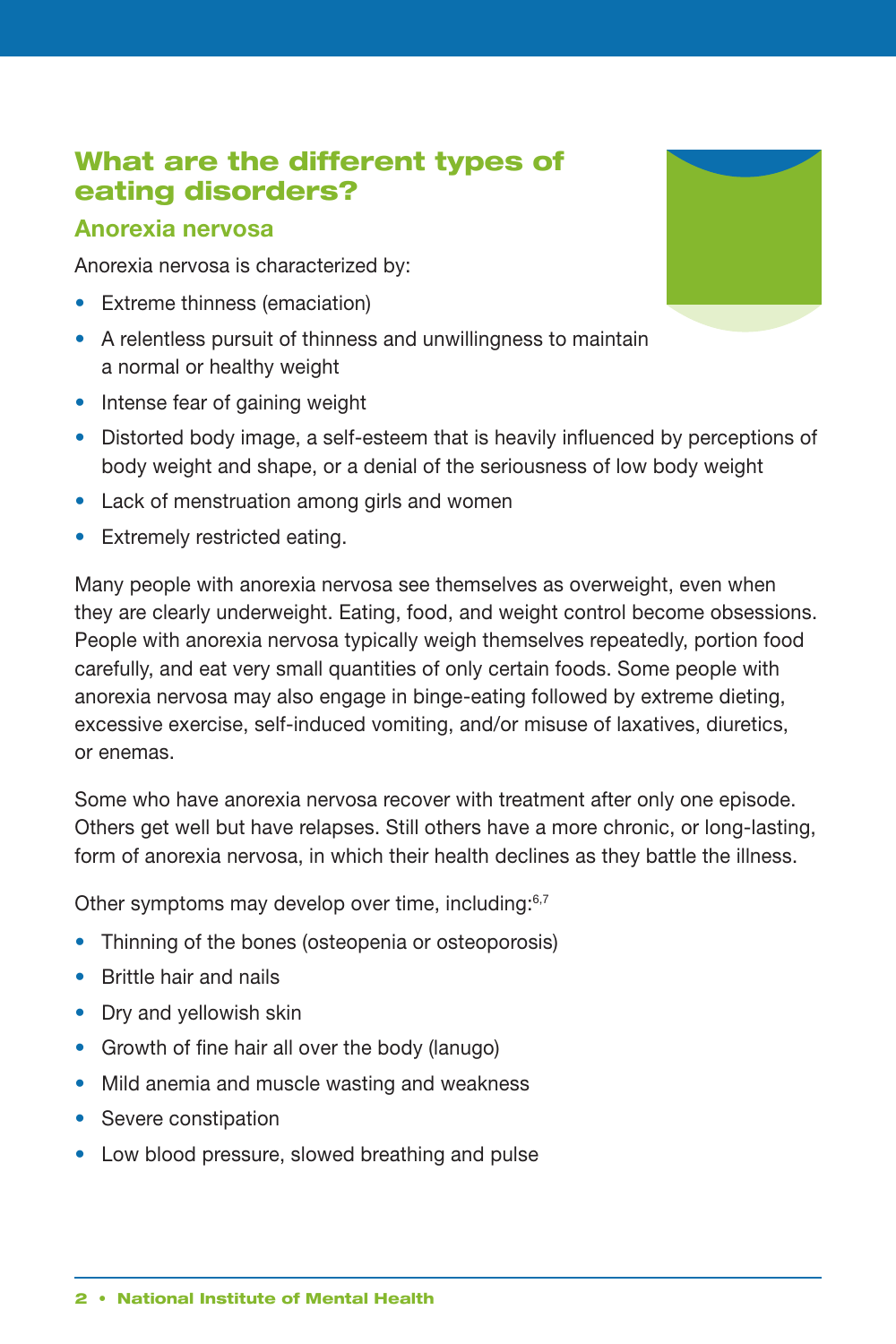## What are the different types of eating disorders?

#### **Anorexia nervosa**

Anorexia nervosa is characterized by:

- Extreme thinness (emaciation)
- **•** � A relentless pursuit of thinness and unwillingness to maintain a normal or healthy weight
- Intense fear of gaining weight
- Distorted body image, a self-esteem that is heavily influenced by perceptions of body weight and shape, or a denial of the seriousness of low body weight
- Lack of menstruation among girls and women
- Extremely restricted eating.

 Many people with anorexia nervosa see themselves as overweight, even when they are clearly underweight. Eating, food, and weight control become obsessions. People with anorexia nervosa typically weigh themselves repeatedly, portion food carefully, and eat very small quantities of only certain foods. Some people with anorexia nervosa may also engage in binge-eating followed by extreme dieting, excessive exercise, self-induced vomiting, and/or misuse of laxatives, diuretics, or enemas.

 Some who have anorexia nervosa recover with treatment after only one episode. Others get well but have relapses. Still others have a more chronic, or long-lasting, form of anorexia nervosa, in which their health declines as they battle the illness.

Other symptoms may develop over time, including:<sup>6,7</sup>

- Thinning of the bones (osteopenia or osteoporosis)
- **•** � Brittle hair and nails
- Dry and yellowish skin
- Growth of fine hair all over the body (lanugo)
- Mild anemia and muscle wasting and weakness
- Severe constipation
- Low blood pressure, slowed breathing and pulse

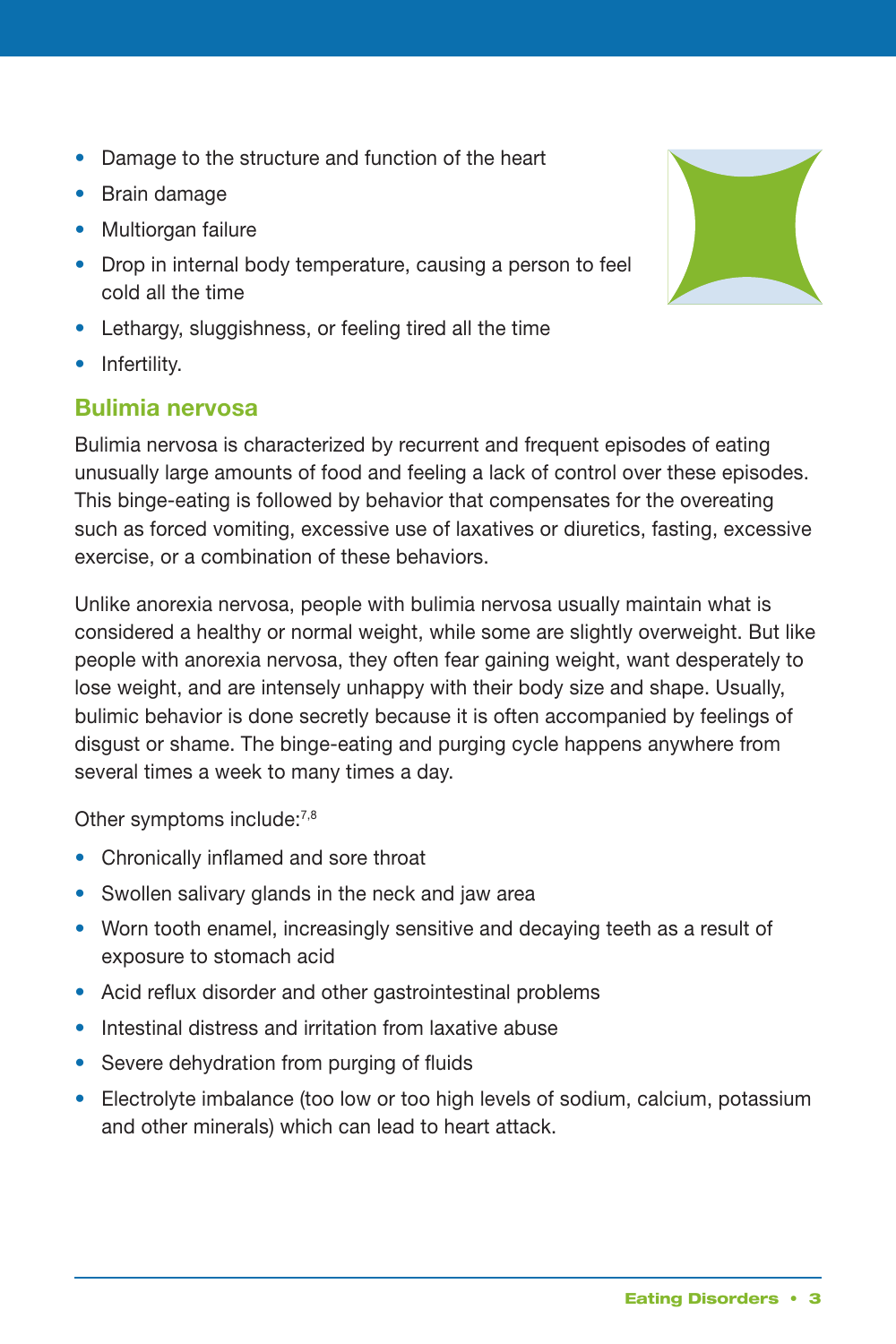- Damage to the structure and function of the heart
- **•** � Brain damage
- Multiorgan failure
- **•** Drop in internal body temperature, causing a person to feel cold all the time
- **•** � Lethargy, sluggishness, or feeling tired all the time
- Infertility.

### **Bulimia nervosa**

 Bulimia nervosa is characterized by recurrent and frequent episodes of eating unusually large amounts of food and feeling a lack of control over these episodes. This binge-eating is followed by behavior that compensates for the overeating such as forced vomiting, excessive use of laxatives or diuretics, fasting, excessive exercise, or a combination of these behaviors.

 Unlike anorexia nervosa, people with bulimia nervosa usually maintain what is considered a healthy or normal weight, while some are slightly overweight. But like people with anorexia nervosa, they often fear gaining weight, want desperately to lose weight, and are intensely unhappy with their body size and shape. Usually, bulimic behavior is done secretly because it is often accompanied by feelings of disgust or shame. The binge-eating and purging cycle happens anywhere from several times a week to many times a day.

Other symptoms include:<sup>7,8</sup>

- **•** Chronically inflamed and sore throat
- Swollen salivary glands in the neck and jaw area
- Worn tooth enamel, increasingly sensitive and decaying teeth as a result of exposure to stomach acid
- Acid reflux disorder and other gastrointestinal problems
- **•** Intestinal distress and irritation from laxative abuse
- **•** Severe dehydration from purging of fluids
- **•** Electrolyte imbalance (too low or too high levels of sodium, calcium, potassium and other minerals) which can lead to heart attack.

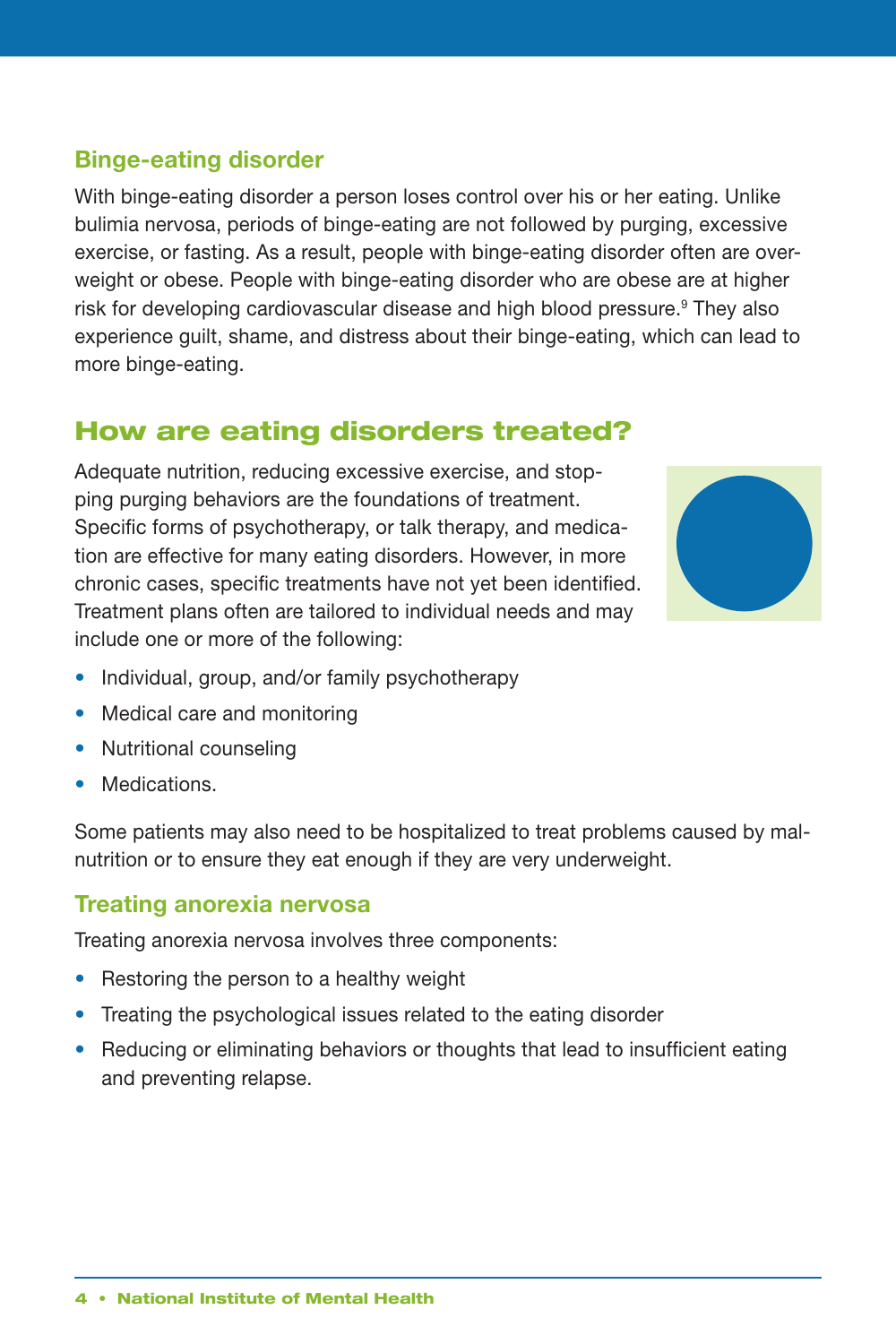## **Binge-eating disorder**

With binge-eating disorder a person loses control over his or her eating. Unlike bulimia nervosa, periods of binge-eating are not followed by purging, excessive exercise, or fasting. As a result, people with binge-eating disorder often are overweight or obese. People with binge-eating disorder who are obese are at higher risk for developing cardiovascular disease and high blood pressure.<sup>9</sup> They also experience guilt, shame, and distress about their binge-eating, which can lead to more binge-eating.

## How are eating disorders treated?

Adequate nutrition, reducing excessive exercise, and stopping purging behaviors are the foundations of treatment. Specific forms of psychotherapy, or talk therapy, and medication are effective for many eating disorders. However, in more chronic cases, specific treatments have not yet been identified. Treatment plans often are tailored to individual needs and may include one or more of the following:



- **•** Individual, group, and/or family psychotherapy
- **•** Medical care and monitoring
- **•** Nutritional counseling
- **•** Medications.

Some patients may also need to be hospitalized to treat problems caused by malnutrition or to ensure they eat enough if they are very underweight.

#### **Treating anorexia nervosa**

Treating anorexia nervosa involves three components:

- **•** Restoring the person to a healthy weight
- **•** Treating the psychological issues related to the eating disorder
- **•** Reducing or eliminating behaviors or thoughts that lead to insufficient eating and preventing relapse.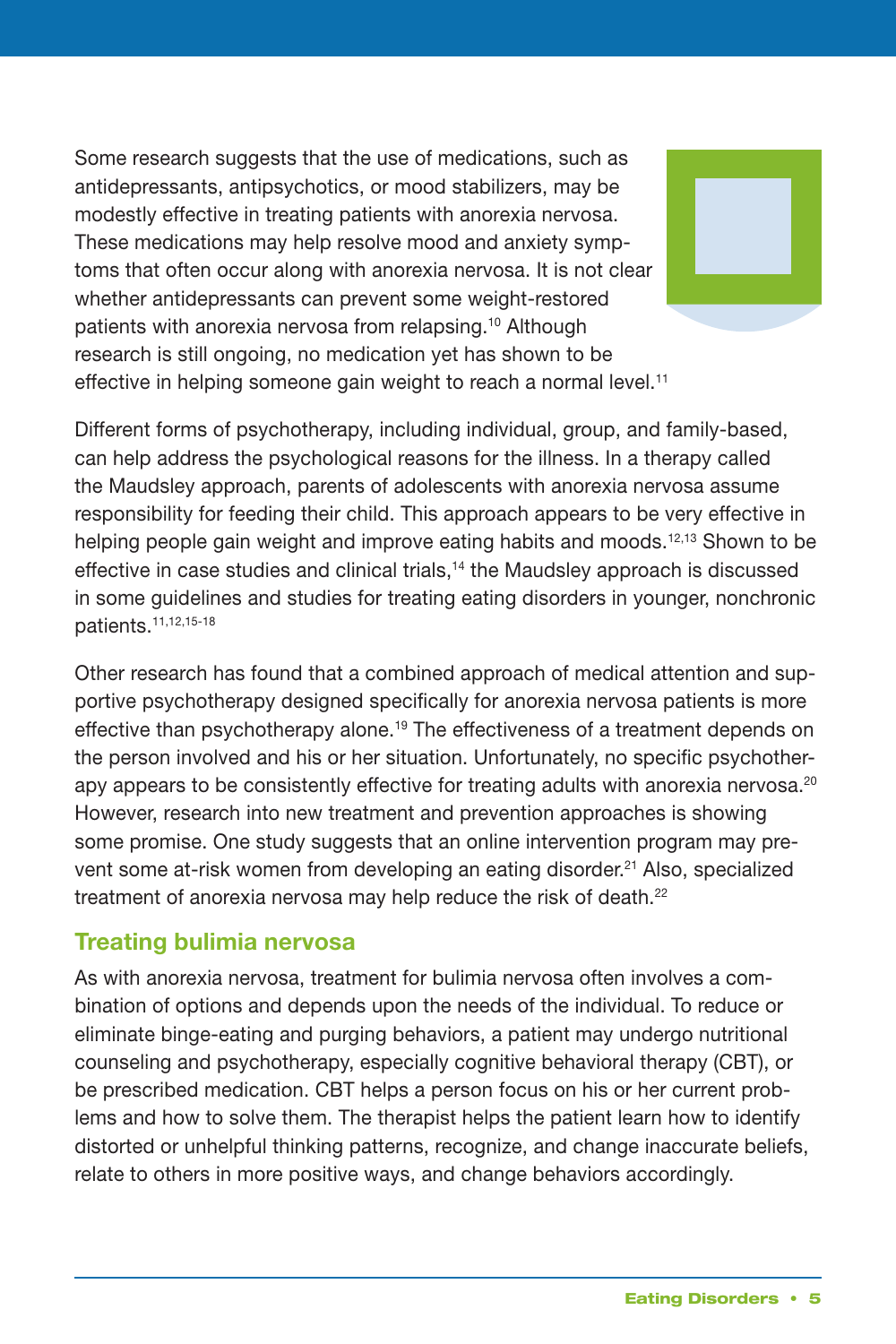Some research suggests that the use of medications, such as antidepressants, antipsychotics, or mood stabilizers, may be modestly effective in treating patients with anorexia nervosa. These medications may help resolve mood and anxiety symp- toms that often occur along with anorexia nervosa. It is not clear whether antidepressants can prevent some weight-restored patients with anorexia nervosa from relapsing.<sup>10</sup> Although research is still ongoing, no medication yet has shown to be effective in helping someone gain weight to reach a normal level.<sup>11</sup>

 Different forms of psychotherapy, including individual, group, and family-based, can help address the psychological reasons for the illness. In a therapy called the Maudsley approach, parents of adolescents with anorexia nervosa assume responsibility for feeding their child. This approach appears to be very effective in helping people gain weight and improve eating habits and moods.<sup>12,13</sup> Shown to be effective in case studies and clinical trials,<sup>14</sup> the Maudsley approach is discussed in some guidelines and studies for treating eating disorders in younger, nonchronic patients.11,12,15-18

 Other research has found that a combined approach of medical attention and sup- portive psychotherapy designed specifically for anorexia nervosa patients is more effective than psychotherapy alone.<sup>19</sup> The effectiveness of a treatment depends on the person involved and his or her situation. Unfortunately, no specific psychotherapy appears to be consistently effective for treating adults with anorexia nervosa.<sup>20</sup> However, research into new treatment and prevention approaches is showing some promise. One study suggests that an online intervention program may prevent some at-risk women from developing an eating disorder.<sup>21</sup> Also, specialized treatment of anorexia nervosa may help reduce the risk of death. $^{22}$ 

#### **Treating bulimia nervosa**

 As with anorexia nervosa, treatment for bulimia nervosa often involves a com- bination of options and depends upon the needs of the individual. To reduce or eliminate binge-eating and purging behaviors, a patient may undergo nutritional counseling and psychotherapy, especially cognitive behavioral therapy (CBT), or be prescribed medication. CBT helps a person focus on his or her current prob- lems and how to solve them. The therapist helps the patient learn how to identify distorted or unhelpful thinking patterns, recognize, and change inaccurate beliefs, relate to others in more positive ways, and change behaviors accordingly.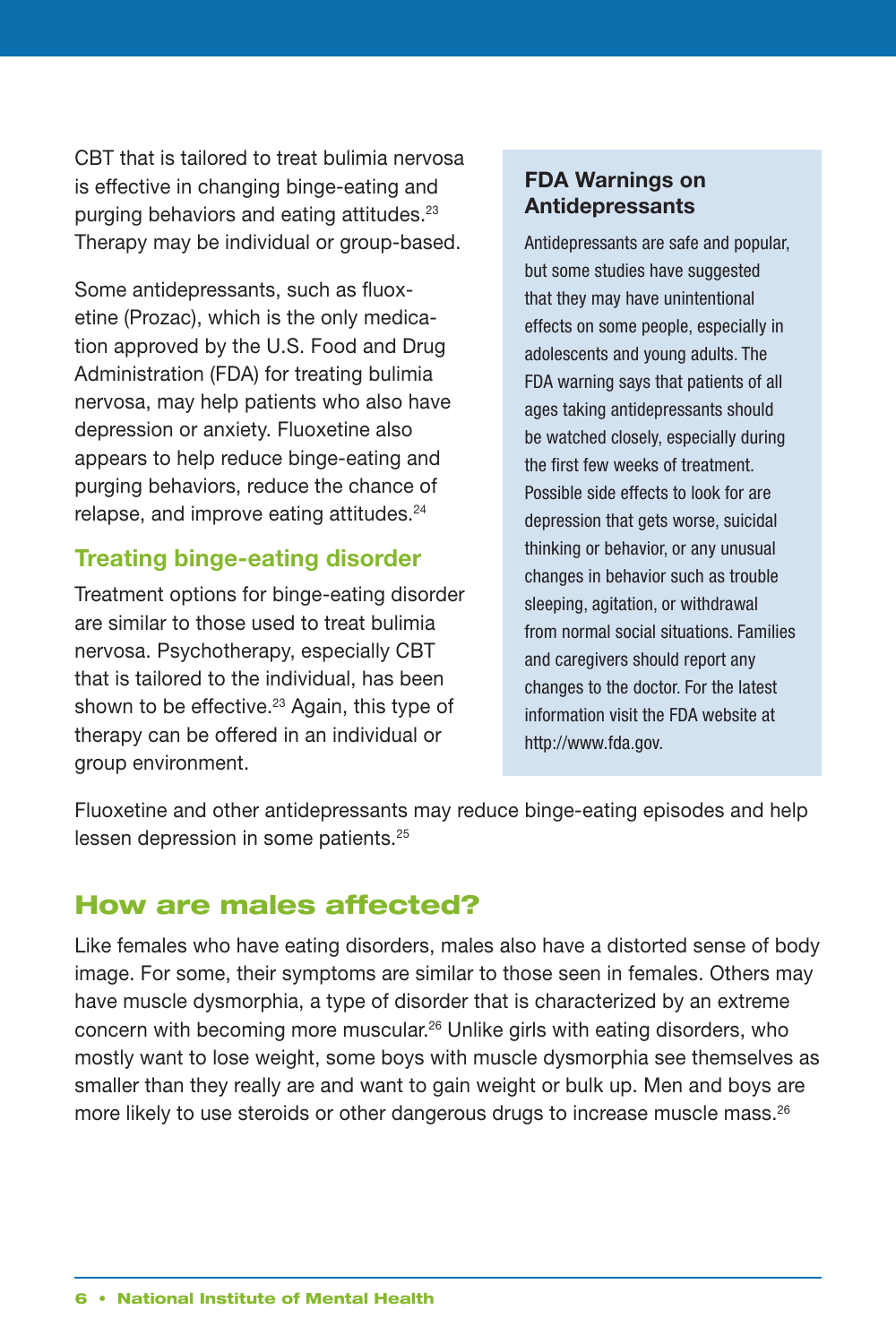CBT that is tailored to treat bulimia nervosa is effective in changing binge-eating and purging behaviors and eating attitudes.<sup>23</sup> Therapy may be individual or group-based.

 Some antidepressants, such as fluox- etine (Prozac), which is the only medica- tion approved by the U.S. Food and Drug Administration (FDA) for treating bulimia nervosa, may help patients who also have depression or anxiety. Fluoxetine also appears to help reduce binge-eating and purging behaviors, reduce the chance of relapse, and improve eating attitudes.<sup>24</sup>

## **Treating binge-eating disorder**

 Treatment options for binge-eating disorder are similar to those used to treat bulimia nervosa. Psychotherapy, especially CBT that is tailored to the individual, has been shown to be effective.<sup>23</sup> Again, this type of therapy can be offered in an individual or group environment.

#### **FDA Warnings on Antidepressants**

 Antidepressants are safe and popular, but some studies have suggested that they may have unintentional effects on some people, especially in adolescents and young adults. The FDA warning says that patients of all ages taking antidepressants should be watched closely, especially during the first few weeks of treatment. Possible side effects to look for are depression that gets worse, suicidal thinking or behavior, or any unusual changes in behavior such as trouble sleeping, agitation, or withdrawal from normal social situations. Families and caregivers should report any changes to the doctor. For the latest information visit the FDA website at [http://www.fda.gov.](http://www.fda.gov) 

 Fluoxetine and other antidepressants may reduce binge-eating episodes and help lessen depression in some patients.<sup>25</sup>

# How are males affected?

 Like females who have eating disorders, males also have a distorted sense of body image. For some, their symptoms are similar to those seen in females. Others may have muscle dysmorphia, a type of disorder that is characterized by an extreme concern with becoming more muscular.<sup>26</sup> Unlike girls with eating disorders, who mostly want to lose weight, some boys with muscle dysmorphia see themselves as smaller than they really are and want to gain weight or bulk up. Men and boys are more likely to use steroids or other dangerous drugs to increase muscle mass. $^{26}$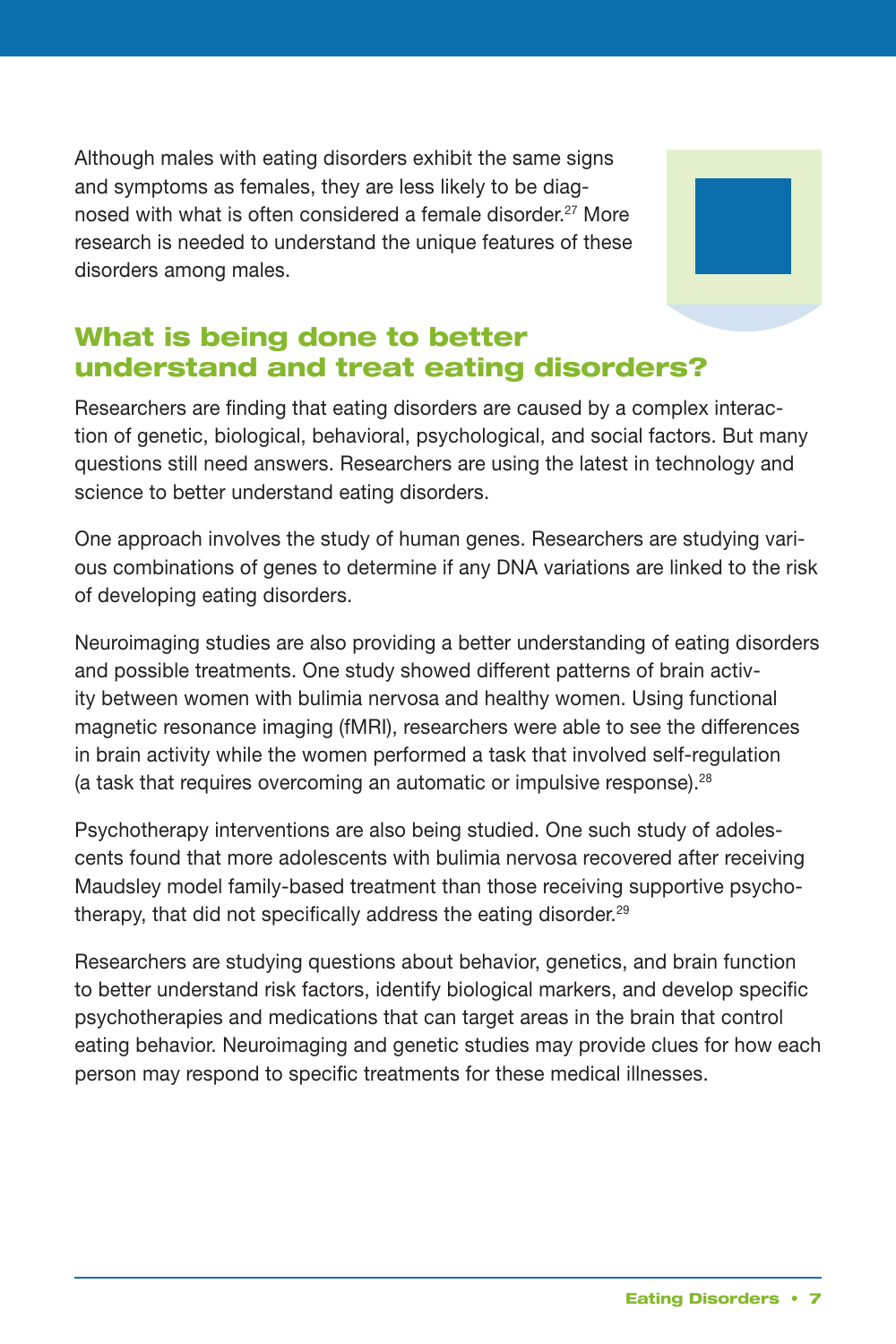Although males with eating disorders exhibit the same signs and symptoms as females, they are less likely to be diagnosed with what is often considered a female disorder.<sup>27</sup> More research is needed to understand the unique features of these disorders among males.



## What is being done to better understand and treat eating disorders?

 Researchers are finding that eating disorders are caused by a complex interac- tion of genetic, biological, behavioral, psychological, and social factors. But many questions still need answers. Researchers are using the latest in technology and science to better understand eating disorders.

 One approach involves the study of human genes. Researchers are studying vari- ous combinations of genes to determine if any DNA variations are linked to the risk of developing eating disorders.

 Neuroimaging studies are also providing a better understanding of eating disorders and possible treatments. One study showed different patterns of brain activ- ity between women with bulimia nervosa and healthy women. Using functional magnetic resonance imaging (fMRI), researchers were able to see the differences in brain activity while the women performed a task that involved self-regulation (a task that requires overcoming an automatic or impulsive response).<sup>28</sup>

 Psychotherapy interventions are also being studied. One such study of adoles- cents found that more adolescents with bulimia nervosa recovered after receiving Maudsley model family-based treatment than those receiving supportive psychotherapy, that did not specifically address the eating disorder.<sup>29</sup>

 Researchers are studying questions about behavior, genetics, and brain function to better understand risk factors, identify biological markers, and develop specific psychotherapies and medications that can target areas in the brain that control eating behavior. Neuroimaging and genetic studies may provide clues for how each person may respond to specific treatments for these medical illnesses.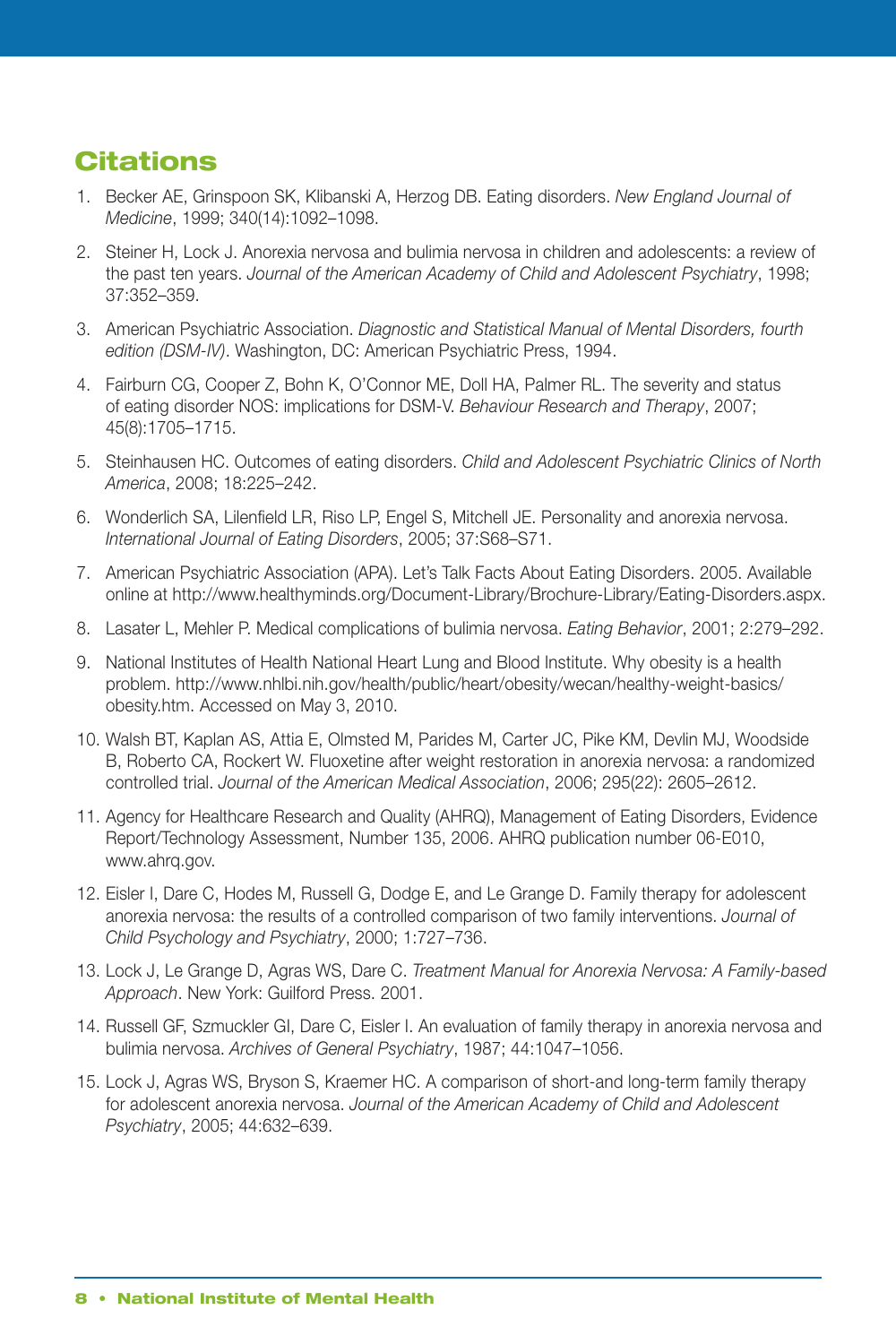## **Citations**

- 1. Becker AE, Grinspoon SK, Klibanski A, Herzog DB. Eating disorders. *New England Journal of Medicine*, 1999; 340(14):1092-1098.
- the past ten years. *Journal of the American Academy of Child and Adolescent Psychiatry*, 1998; 2. Steiner H, Lock J. Anorexia nervosa and bulimia nervosa in children and adolescents: a review of 37:352–359.
- 3. American Psychiatric Association. *Diagnostic and Statistical Manual of Mental Disorders, fourth edition (DSM-IV)*. Washington, DC: American Psychiatric Press, 1994.
- of eating disorder NOS: implications for DSM-V. *Behaviour Research and Therapy*, 2007; 4. Fairburn CG, Cooper Z, Bohn K, O'Connor ME, Doll HA, Palmer RL. The severity and status 45(8):1705–1715.
- 5. Steinhausen HC. Outcomes of eating disorders. *Child and Adolescent Psychiatric Clinics of North America*, 2008; 18:225–242.
- *International Journal of Eating Disorders*, 2005; 37:S68–S71. 6. Wonderlich SA, Lilenfield LR, Riso LP, Engel S, Mitchell JE. Personality and anorexia nervosa.
- 7. American Psychiatric Association (APA). Let's Talk Facts About Eating Disorders. 2005. Available online at http://www.healthyminds.org/Document-Library/Brochure-Library/Eating-Disorders.aspx.
- 8. Lasater L, Mehler P. Medical complications of bulimia nervosa. *Eating Behavior*, 2001; 2:279–292.
- 9. National Institutes of Health National Heart Lung and Blood Institute. Why obesity is a health problem. http://www.nhlbi.nih.gov/health/public/heart/obesity/wecan/healthy-weight-basics/ obesity.htm. Accessed on May 3, 2010.
- controlled trial. *Journal of the American Medical Association*, 2006; 295(22): 2605–2612. 10. Walsh BT, Kaplan AS, Attia E, Olmsted M, Parides M, Carter JC, Pike KM, Devlin MJ, Woodside B. Roberto CA, Rockert W. Fluoxetine after weight restoration in anorexia nervosa: a randomized
- 11. Agency for Healthcare Research and Quality (AHRQ), Management of Eating Disorders, Evidence Report/Technology Assessment, Number 135, 2006. AHRQ publication number 06-E010, www.ahrq.gov.
- *Child Psychology and Psychiatry*, 2000; 1:727–736. 12. Eisler I, Dare C, Hodes M, Russell G, Dodge E, and Le Grange D. Family therapy for adolescent anorexia nervosa: the results of a controlled comparison of two family interventions. *Journal of*
- 13. Lock J, Le Grange D, Agras WS, Dare C. *Treatment Manual for Anorexia Nervosa: A Family-based Approach*. New York: Guilford Press. 2001.
- bulimia nervosa. *Archives of General Psychiatry*, 1987; 44:1047–1056. 14. Russell GF, Szmuckler GI, Dare C, Eisler I. An evaluation of family therapy in anorexia nervosa and
- for adolescent anorexia nervosa. *Journal of the American Academy of Child and Adolescent* 15. Lock J, Agras WS, Bryson S, Kraemer HC. A comparison of short-and long-term family therapy *Psychiatry*, 2005; 44:632–639.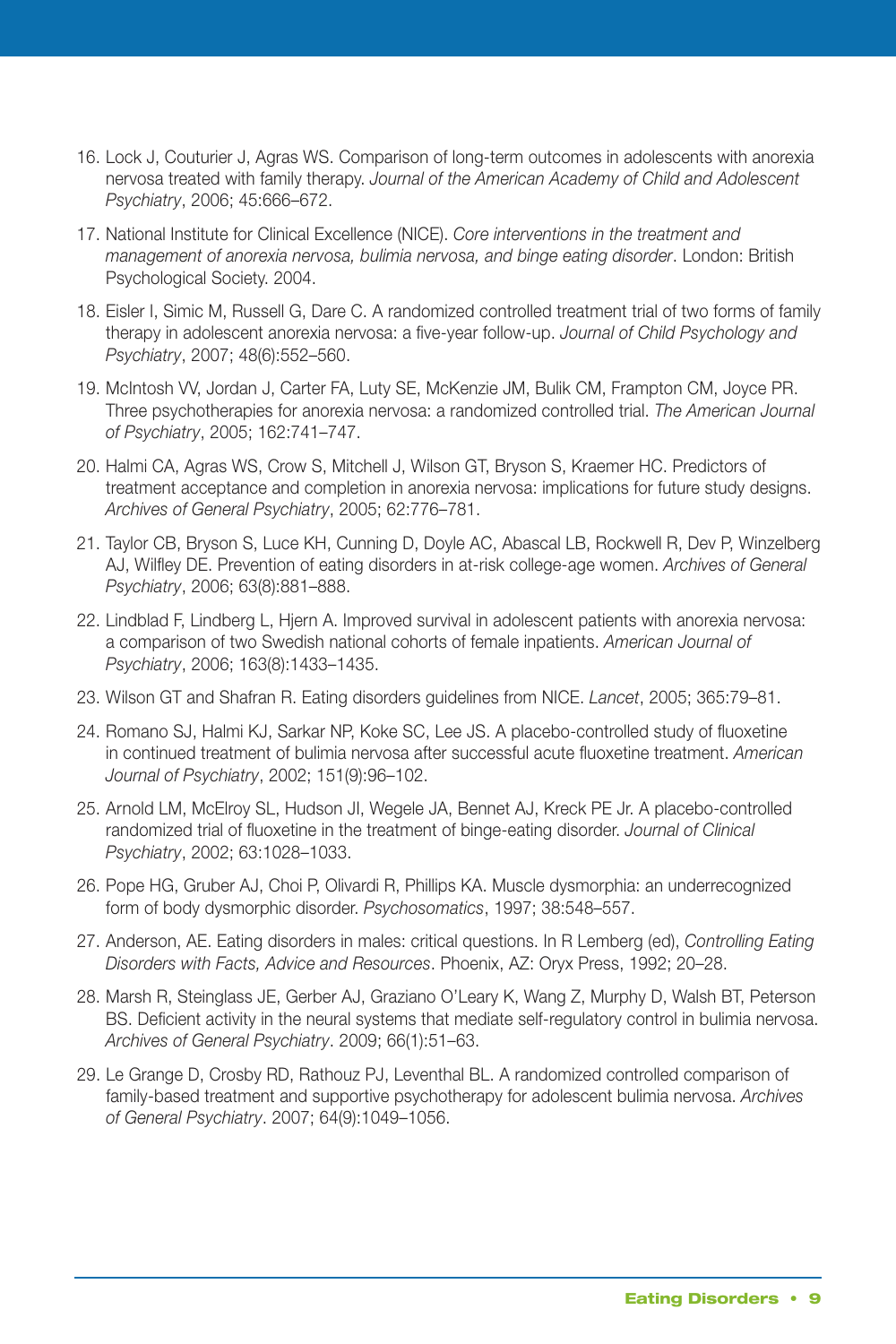- nervosa treated with family therapy. *Journal of the American Academy of Child and Adolescent* 16. Lock J, Couturier J, Agras WS. Comparison of long-term outcomes in adolescents with anorexia *Psychiatry*, 2006; 45:666–672.
- 17. National Institute for Clinical Excellence (NICE). *Core interventions in the treatment and management of anorexia nervosa, bulimia nervosa, and binge eating disorder*. London: British Psychological Society. 2004.
- therapy in adolescent anorexia nervosa: a five-year follow-up. *Journal of Child Psychology and* 18. Eisler I, Simic M, Russell G, Dare C. A randomized controlled treatment trial of two forms of family *Psychiatry*, 2007; 48(6):552–560.
- Three psychotherapies for anorexia nervosa: a randomized controlled trial. *The American Journal* 19. McIntosh VV, Jordan J, Carter FA, Luty SE, McKenzie JM, Bulik CM, Frampton CM, Joyce PR, *of Psychiatry*, 2005; 162:741–747.
- *Archives of General Psychiatry*, 2005; 62:776–781. 20. Halmi CA, Agras WS, Crow S, Mitchell J, Wilson GT, Bryson S, Kraemer HC. Predictors of treatment acceptance and completion in anorexia nervosa: implications for future study designs.
- AJ, Wilfley DE. Prevention of eating disorders in at-risk college-age women. Archives of General 21. Taylor CB, Bryson S, Luce KH, Cunning D, Doyle AC, Abascal LB, Rockwell R, Dev P, Winzelberg *Psychiatry*, 2006; 63(8):881–888.
- a comparison of two Swedish national cohorts of female inpatients. *American Journal of* 22. Lindblad F, Lindberg L, Hjern A. Improved survival in adolescent patients with anorexia nervosa: *Psychiatry*, 2006; 163(8):1433–1435.
- 23. Wilson GT and Shafran R. Eating disorders guidelines from NICE. *Lancet*, 2005; 365:79–81.
- *Journal of Psychiatry*, 2002; 151(9):96–102. 24. Romano SJ, Halmi KJ, Sarkar NP, Koke SC, Lee JS. A placebo-controlled study of fluoxetine in continued treatment of bulimia nervosa after successful acute fluoxetine treatment. *American*
- randomized trial of fluoxetine in the treatment of binge-eating disorder. *Journal of Clinical* 25. Arnold LM, McElroy SL, Hudson JI, Wegele JA, Bennet AJ, Kreck PE Jr. A placebo-controlled *Psychiatry*, 2002; 63:1028–1033.
- 26. Pope HG, Gruber AJ, Choi P, Olivardi R, Phillips KA. Muscle dysmorphia: an underrecognized form of body dysmorphic disorder. Psychosomatics, 1997; 38:548-557.
- *Disorders with Facts, Advice and Resources*. Phoenix, AZ: Oryx Press, 1992; 20–28. 27. Anderson, AE. Eating disorders in males: critical questions. In R Lemberg (ed), *Controlling Eating*
- *Archives of General Psychiatry*. 2009; 66(1):51–63. 28. Marsh R, Steinglass JE, Gerber AJ, Graziano O'Leary K, Wang Z, Murphy D, Walsh BT, Peterson BS. Deficient activity in the neural systems that mediate self-regulatory control in bulimia nervosa.
- *of General Psychiatry*. 2007; 64(9):1049–1056. 29. Le Grange D, Crosby RD, Rathouz PJ, Leventhal BL. A randomized controlled comparison of family-based treatment and supportive psychotherapy for adolescent bulimia nervosa. Archives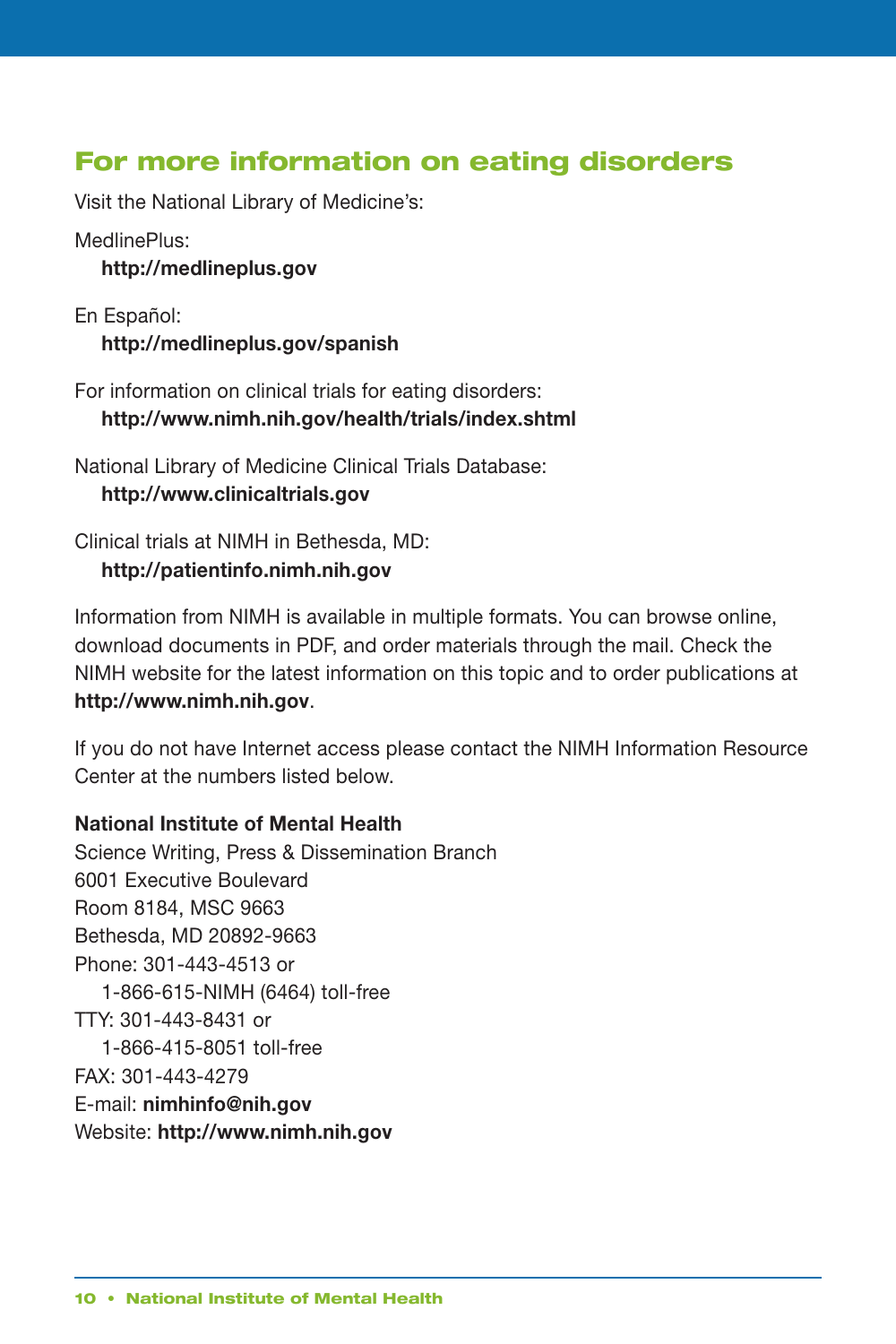## For more information on eating disorders

Visit the National Library of Medicine's:

MedlinePlus:

**<http://medlineplus.gov>**

En Español: **<http://medlineplus.gov/spanish>**

 For information on clinical trials for eating disorders: **<http://www.nimh.nih.gov/health/trials/index.shtml>**

 National Library of Medicine Clinical Trials Database: **<http://www.clinicaltrials.gov>**

 Clinical trials at NIMH in Bethesda, MD: **<http://patientinfo.nimh.nih.gov>**

 Information from NIMH is available in multiple formats. You can browse online, download documents in PDF, and order materials through the mail. Check the NIMH website for the latest information on this topic and to order publications at **<http://www.nimh.nih.gov>**.

 If you do not have Internet access please contact the NIMH Information Resource Center at the numbers listed below.

#### **National Institute of Mental Health**

 Science Writing, Press & Dissemination Branch 6001 Executive Boulevard Room 8184, MSC 9663 Bethesda, MD 20892-9663 1-866-615-NIMH (6464) toll-free Phone: 301-443-4513 or TTY: 301-443-8431 or 1-866-415-8051 toll-free FAX: 301-443-4279 E-mail: **[nimhinfo@nih.gov](mailto:nimhinfo@nih.gov)**  Website: **<http://www.nimh.nih.gov>**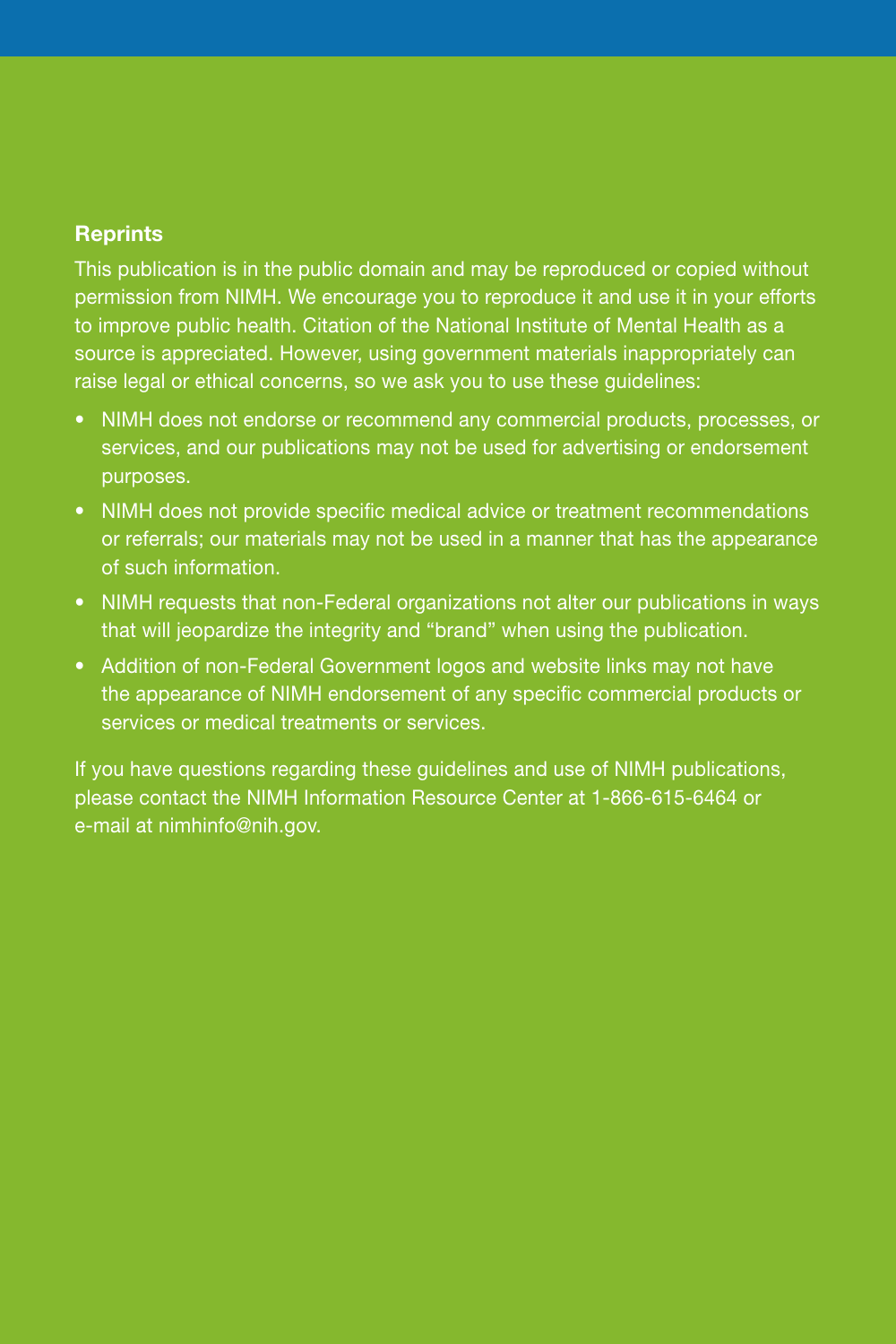#### **Reprints**

This publication is in the public domain and may be reproduced or copied without permission from NIMH. We encourage you to reproduce it and use it in your efforts to improve public health. Citation of the National Institute of Mental Health as a source is appreciated. However, using government materials inappropriately can raise legal or ethical concerns, so we ask you to use these guidelines:

- NIMH does not endorse or recommend any commercial products, processes, or services, and our publications may not be used for advertising or endorsement purposes.
- NIMH does not provide specific medical advice or treatment recommendations or referrals; our materials may not be used in a manner that has the appearance of such information.
- NIMH requests that non-Federal organizations not alter our publications in ways that will jeopardize the integrity and "brand" when using the publication.
- Addition of non -Federal Government logos and website links may not have the appearance of NIMH endorsement of any specific commercial products or services or medical treatments or services.

If you have questions regarding these guidelines and use of NIMH publications, please contact the NIMH Information Resource Center at 1 -866 -615 -6464 or e-mail at [nimhinfo@nih.gov.](mailto:nimhinfo@nih.gov)